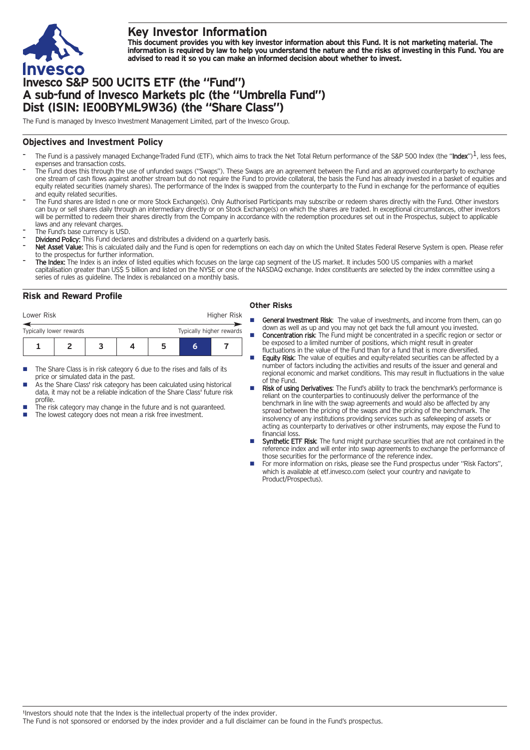

# **Key Investor Information**

This document provides you with key investor information about this Fund. It is not marketing material. The information is required by law to help you understand the nature and the risks of investing in this Fund. You are **advised to read it so you can make an informed decision about whether to invest.**

# **Invesco S&P 500 UCITS ETF (the "Fund") A sub-fund of Invesco Markets plc (the "Umbrella Fund") Dist (ISIN: IE00BYML9W36) (the "Share Class")**

The Fund is managed by Invesco Investment Management Limited, part of the Invesco Group.

## **Objectives and Investment Policy**

- The Fund is a passively managed Exchange-Traded Fund (ETF), which aims to track the Net Total Return performance of the S&P 500 Index (the "Index")<sup>1</sup>, less fees, expenses and transaction costs.
- The Fund does this through the use of unfunded swaps ("Swaps"). These Swaps are an agreement between the Fund and an approved counterparty to exchange one stream of cash flows against another stream but do not require the Fund to provide collateral, the basis the Fund has already invested in a basket of equities and equity related securities (namely shares). The performance of the Index is swapped from the counterparty to the Fund in exchange for the performance of equities and equity related securities.
- The Fund shares are listed n one or more Stock Exchange(s). Only Authorised Participants may subscribe or redeem shares directly with the Fund. Other investors can buy or sell shares daily through an intermediary directly or on Stock Exchange(s) on which the shares are traded. In exceptional circumstances, other investors will be permitted to redeem their shares directly from the Company in accordance with the redemption procedures set out in the Prospectus, subject to applicable laws and any relevant charges.
- The Fund's base currency is USD.
- Dividend Policy: This Fund declares and distributes a dividend on a quarterly basis.
- Net Asset Value: This is calculated daily and the Fund is open for redemptions on each day on which the United States Federal Reserve System is open. Please refer to the prospectus for further information.
- The Index: The Index is an index of listed equities which focuses on the large cap segment of the US market. It includes 500 US companies with a market capitalisation greater than US\$ 5 billion and listed on the NYSE or one of the NASDAQ exchange. Index constituents are selected by the index committee using a series of rules as guideline. The Index is rebalanced on a monthly basis.

## **Risk and Reward Profile**

| Lower Risk                                          |  |  |  |  |  | Higher Risk |  |
|-----------------------------------------------------|--|--|--|--|--|-------------|--|
| Typically higher rewards<br>Typically lower rewards |  |  |  |  |  |             |  |
|                                                     |  |  |  |  |  |             |  |

- The Share Class is in risk category 6 due to the rises and falls of its price or simulated data in the past.
- As the Share Class' risk category has been calculated using historical data, it may not be a reliable indication of the Share Class' future risk profile.
- The risk category may change in the future and is not guaranteed.
- The lowest category does not mean a risk free investment.

### **Other Risks**

- General Investment Risk: The value of investments, and income from them, can go down as well as up and you may not get back the full amount you invested.
- **Concentration risk:** The Fund might be concentrated in a specific region or sector or be exposed to a limited number of positions, which might result in greater fluctuations in the value of the Fund than for a fund that is more diversified.
- Equity Risk: The value of equities and equity-related securities can be affected by a number of factors including the activities and results of the issuer and general and regional economic and market conditions. This may result in fluctuations in the value of the Fund.
- Risk of using Derivatives: The Fund's ability to track the benchmark's performance is reliant on the counterparties to continuously deliver the performance of the benchmark in line with the swap agreements and would also be affected by any spread between the pricing of the swaps and the pricing of the benchmark. The insolvency of any institutions providing services such as safekeeping of assets or acting as counterparty to derivatives or other instruments, may expose the Fund to financial loss
- Synthetic ETF Risk: The fund might purchase securities that are not contained in the reference index and will enter into swap agreements to exchange the performance of those securities for the performance of the reference index.
- For more information on risks, please see the Fund prospectus under "Risk Factors", which is available at etf.invesco.com (select your country and navigate to Product/Prospectus).